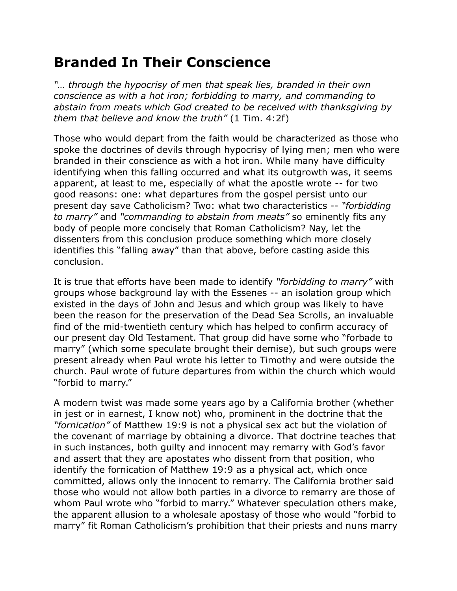## **Branded In Their Conscience**

*"… through the hypocrisy of men that speak lies, branded in their own conscience as with a hot iron; forbidding to marry, and commanding to abstain from meats which God created to be received with thanksgiving by them that believe and know the truth"* (1 Tim. 4:2f)

Those who would depart from the faith would be characterized as those who spoke the doctrines of devils through hypocrisy of lying men; men who were branded in their conscience as with a hot iron. While many have difficulty identifying when this falling occurred and what its outgrowth was, it seems apparent, at least to me, especially of what the apostle wrote -- for two good reasons: one: what departures from the gospel persist unto our present day save Catholicism? Two: what two characteristics -- *"forbidding to marry"* and *"commanding to abstain from meats"* so eminently fits any body of people more concisely that Roman Catholicism? Nay, let the dissenters from this conclusion produce something which more closely identifies this "falling away" than that above, before casting aside this conclusion.

It is true that efforts have been made to identify *"forbidding to marry"* with groups whose background lay with the Essenes -- an isolation group which existed in the days of John and Jesus and which group was likely to have been the reason for the preservation of the Dead Sea Scrolls, an invaluable find of the mid-twentieth century which has helped to confirm accuracy of our present day Old Testament. That group did have some who "forbade to marry" (which some speculate brought their demise), but such groups were present already when Paul wrote his letter to Timothy and were outside the church. Paul wrote of future departures from within the church which would "forbid to marry."

A modern twist was made some years ago by a California brother (whether in jest or in earnest, I know not) who, prominent in the doctrine that the *"fornication"* of Matthew 19:9 is not a physical sex act but the violation of the covenant of marriage by obtaining a divorce. That doctrine teaches that in such instances, both guilty and innocent may remarry with God's favor and assert that they are apostates who dissent from that position, who identify the fornication of Matthew 19:9 as a physical act, which once committed, allows only the innocent to remarry. The California brother said those who would not allow both parties in a divorce to remarry are those of whom Paul wrote who "forbid to marry." Whatever speculation others make, the apparent allusion to a wholesale apostasy of those who would "forbid to marry" fit Roman Catholicism's prohibition that their priests and nuns marry